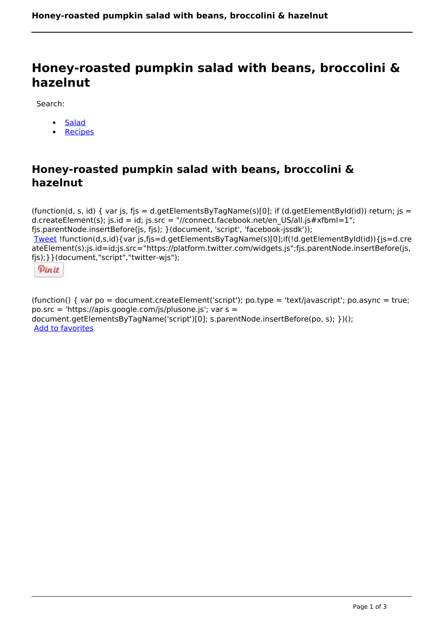# **Honey-roasted pumpkin salad with beans, broccolini & hazelnut**

Search:

- [Salad](https://www.naturalhealthmag.com.au/nourish/salads)
- **[Recipes](https://www.naturalhealthmag.com.au/nourish/recipes)**

## **Honey-roasted pumpkin salad with beans, broccolini & hazelnut**

(function(d, s, id) { var is, fis = d.getElementsByTagName(s)[0]; if (d.getElementById(id)) return; is = d.createElement(s); js.id = id; js.src = "//connect.facebook.net/en\_US/all.js#xfbml=1"; fjs.parentNode.insertBefore(js, fjs); }(document, 'script', 'facebook-jssdk')); [Tweet](https://twitter.com/share) !function(d,s,id){var js,fjs=d.getElementsByTagName(s)[0];if(!d.getElementById(id)){js=d.cre ateElement(s);js.id=id;js.src="https://platform.twitter.com/widgets.js";fjs.parentNode.insertBefore(js, fjs);}}(document,"script","twitter-wjs");



(function() { var po = document.createElement('script'); po.type = 'text/javascript'; po.async = true; po.src = 'https://apis.google.com/js/plusone.js'; var s = document.getElementsByTagName('script')[0]; s.parentNode.insertBefore(po, s); })(); Add to favorites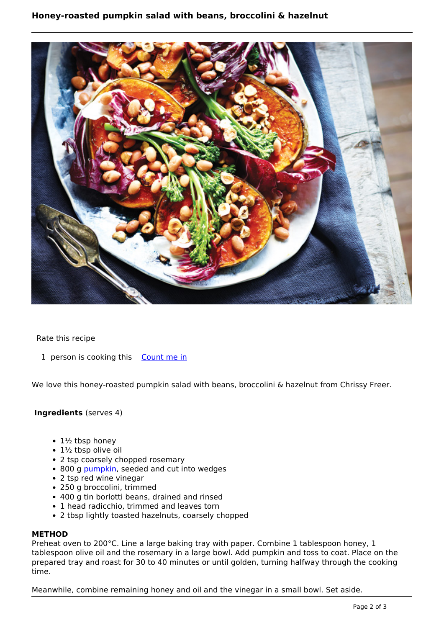### **Honey-roasted pumpkin salad with beans, broccolini & hazelnut**



Rate this recipe

1 person is cooking this [Count me in](https://www.naturalhealthmag.com.au/flag/flag/favorites/1707?destination=printpdf%2F1707&token=e78c3bb12a5c032169e4e2b99ab2c810)

We love this honey-roasted pumpkin salad with beans, broccolini & hazelnut from Chrissy Freer.

#### **Ingredients** (serves 4)

- $\cdot$  1½ tbsp honey
- $\cdot$  1½ tbsp olive oil
- 2 tsp coarsely chopped rosemary
- 800 g [pumpkin](http://www.naturalhealthmag.com.au/search/node?theme=nourish&keys=pumpkin), seeded and cut into wedges
- 2 tsp red wine vinegar
- 250 g broccolini, trimmed
- 400 g tin borlotti beans, drained and rinsed
- 1 head radicchio, trimmed and leaves torn
- 2 tbsp lightly toasted hazelnuts, coarsely chopped

#### **METHOD**

Preheat oven to 200°C. Line a large baking tray with paper. Combine 1 tablespoon honey, 1 tablespoon olive oil and the rosemary in a large bowl. Add pumpkin and toss to coat. Place on the prepared tray and roast for 30 to 40 minutes or until golden, turning halfway through the cooking time.

Meanwhile, combine remaining honey and oil and the vinegar in a small bowl. Set aside.